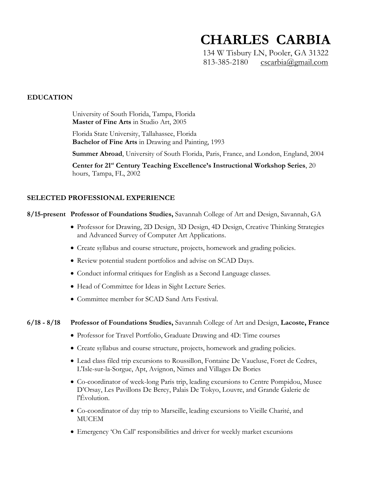# **CHARLES CARBIA**

134 W Tisbury LN, Pooler, GA 31322 813-385-2180  $\cscarbia(\mathcal{Q}gmail.com)$ 

# **EDUCATION**

University of South Florida, Tampa, Florida **Master of Fine Arts** in Studio Art, 2005

Florida State University, Tallahassee, Florida **Bachelor of Fine Arts** in Drawing and Painting, 1993

**Summer Abroad**, University of South Florida, Paris, France, and London, England, 2004

**Center for 21st Century Teaching Excellence's Instructional Workshop Series**, 20 hours, Tampa, FL, 2002

# **SELECTED PROFESSIONAL EXPERIENCE**

#### **8/15-present Professor of Foundations Studies,** Savannah College of Art and Design, Savannah, GA

- Professor for Drawing, 2D Design, 3D Design, 4D Design, Creative Thinking Strategies and Advanced Survey of Computer Art Applications.
- Create syllabus and course structure, projects, homework and grading policies.
- Review potential student portfolios and advise on SCAD Days.
- Conduct informal critiques for English as a Second Language classes.
- Head of Committee for Ideas in Sight Lecture Series.
- Committee member for SCAD Sand Arts Festival.

#### **6/18 - 8/18 Professor of Foundations Studies,** Savannah College of Art and Design, **Lacoste, France**

- Professor for Travel Portfolio, Graduate Drawing and 4D: Time courses
- Create syllabus and course structure, projects, homework and grading policies.
- Lead class filed trip excursions to Roussillon, Fontaine De Vaucluse, Foret de Cedres, L'Isle-sur-la-Sorgue, Apt, Avignon, Nimes and Villages De Bories
- Co-coordinator of week-long Paris trip, leading excursions to Centre Pompidou, Musee D'Orsay, Les Pavillons De Bercy, Palais De Tokyo, Louvre, and Grande Galerie de l'Évolution.
- Co-coordinator of day trip to Marseille, leading excursions to Vieille Charité, and MUCEM
- Emergency 'On Call' responsibilities and driver for weekly market excursions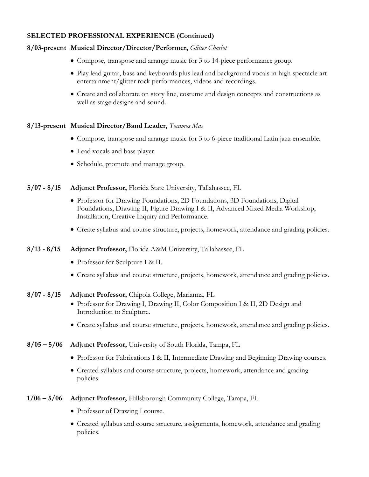# **SELECTED PROFESSIONAL EXPERIENCE (Continued)**

#### **8/03-present Musical Director/Director/Performer,** *Glitter Chariot*

- Compose, transpose and arrange music for 3 to 14-piece performance group.
- Play lead guitar, bass and keyboards plus lead and background vocals in high spectacle art entertainment/glitter rock performances, videos and recordings.
- Create and collaborate on story line, costume and design concepts and constructions as well as stage designs and sound.

# **8/13-present Musical Director/Band Leader,** *Tocamos Mas*

- Compose, transpose and arrange music for 3 to 6-piece traditional Latin jazz ensemble.
- Lead vocals and bass player.
- Schedule, promote and manage group.

**5/07 - 8/15 Adjunct Professor,** Florida State University, Tallahassee, FL

- Professor for Drawing Foundations, 2D Foundations, 3D Foundations, Digital Foundations, Drawing II, Figure Drawing I & II, Advanced Mixed Media Workshop, Installation, Creative Inquiry and Performance.
- Create syllabus and course structure, projects, homework, attendance and grading policies.

#### **8/13 - 8/15 Adjunct Professor,** Florida A&M University, Tallahassee, FL

- Professor for Sculpture I & II.
- Create syllabus and course structure, projects, homework, attendance and grading policies.

#### **8/07 - 8/15 Adjunct Professor,** Chipola College, Marianna, FL

- Professor for Drawing I, Drawing II, Color Composition I & II, 2D Design and Introduction to Sculpture.
- Create syllabus and course structure, projects, homework, attendance and grading policies.
- **8/05 – 5/06 Adjunct Professor,** University of South Florida, Tampa, FL
	- Professor for Fabrications I & II, Intermediate Drawing and Beginning Drawing courses.
	- Created syllabus and course structure, projects, homework, attendance and grading policies.

#### **1/06 – 5/06 Adjunct Professor,** Hillsborough Community College, Tampa, FL

- Professor of Drawing I course.
- Created syllabus and course structure, assignments, homework, attendance and grading policies.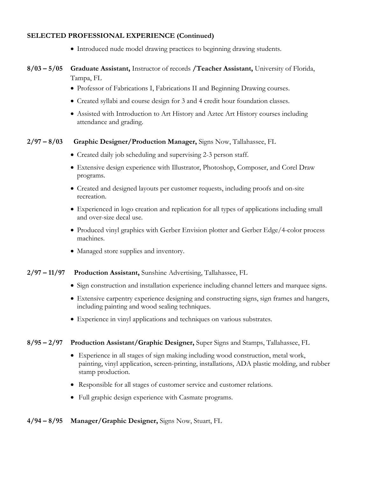#### **SELECTED PROFESSIONAL EXPERIENCE (Continued)**

• Introduced nude model drawing practices to beginning drawing students.

# **8/03 – 5/05 Graduate Assistant,** Instructor of records **/Teacher Assistant,** University of Florida, Tampa, FL

- Professor of Fabrications I, Fabrications II and Beginning Drawing courses.
- Created syllabi and course design for 3 and 4 credit hour foundation classes.
- Assisted with Introduction to Art History and Aztec Art History courses including attendance and grading.

#### **2/97 – 8/03 Graphic Designer/Production Manager,** Signs Now, Tallahassee, FL

- Created daily job scheduling and supervising 2-3 person staff.
- Extensive design experience with Illustrator, Photoshop, Composer, and Corel Draw programs.
- Created and designed layouts per customer requests, including proofs and on-site recreation.
- Experienced in logo creation and replication for all types of applications including small and over-size decal use.
- Produced vinyl graphics with Gerber Envision plotter and Gerber Edge/4-color process machines.
- Managed store supplies and inventory.

#### **2/97 – 11/97 Production Assistant,** Sunshine Advertising, Tallahassee, FL

- Sign construction and installation experience including channel letters and marquee signs.
- Extensive carpentry experience designing and constructing signs, sign frames and hangers, including painting and wood sealing techniques.
- Experience in vinyl applications and techniques on various substrates.

#### **8/95 – 2/97 Production Assistant/Graphic Designer,** Super Signs and Stamps, Tallahassee, FL

- Experience in all stages of sign making including wood construction, metal work, painting, vinyl application, screen-printing, installations, ADA plastic molding, and rubber stamp production.
- Responsible for all stages of customer service and customer relations.
- Full graphic design experience with Casmate programs.

#### **4/94 – 8/95 Manager/Graphic Designer,** Signs Now, Stuart, FL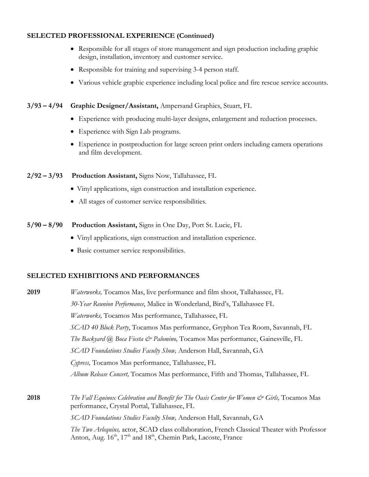#### **SELECTED PROFESSIONAL EXPERIENCE (Continued)**

- Responsible for all stages of store management and sign production including graphic design, installation, inventory and customer service.
- Responsible for training and supervising 3-4 person staff.
- Various vehicle graphic experience including local police and fire rescue service accounts.

#### **3/93 – 4/94 Graphic Designer/Assistant,** Ampersand Graphics, Stuart, FL

- Experience with producing multi-layer designs, enlargement and reduction processes.
- Experience with Sign Lab programs.
- Experience in postproduction for large screen print orders including camera operations and film development.

#### **2/92 – 3/93 Production Assistant,** Signs Now, Tallahassee, FL

- Vinyl applications, sign construction and installation experience.
- All stages of customer service responsibilities.
- **5/90 – 8/90 Production Assistant,** Signs in One Day, Port St. Lucie, FL
	- Vinyl applications, sign construction and installation experience.
	- Basic costumer service responsibilities.

#### **SELECTED EXHIBITIONS AND PERFORMANCES**

**2019** *Waterworks,* Tocamos Mas, live performance and film shoot, Tallahassee, FL *30-Year Reunion Performance*, Malice in Wonderland, Bird's, Tallahassee FL *Waterworks,* Tocamos Mas performance, Tallahassee, FL *SCAD 40 Block Party*, Tocamos Mas performance, Gryphon Tea Room, Savannah, FL *The Backyard @ Boca Fiesta & Palomino,* Tocamos Mas performance, Gainesville, FL *SCAD Foundations Studies Faculty Show,* Anderson Hall, Savannah, GA *Cypress,* Tocamos Mas performance, Tallahassee, FL *Album Release Concert,* Tocamos Mas performance, Fifth and Thomas, Tallahassee, FL **2018** *The Fall Equinox Celebration and Benefit for The Oasis Center for Women & Girls,* Tocamos Mas performance, Crystal Portal, Tallahassee, FL *SCAD Foundations Studies Faculty Show,* Anderson Hall, Savannah, GA *The Two Arlequins,* actor, SCAD class collaboration, French Classical Theater with Professor Anton, Aug.  $16<sup>th</sup>$ ,  $17<sup>th</sup>$  and  $18<sup>th</sup>$ , Chemin Park, Lacoste, France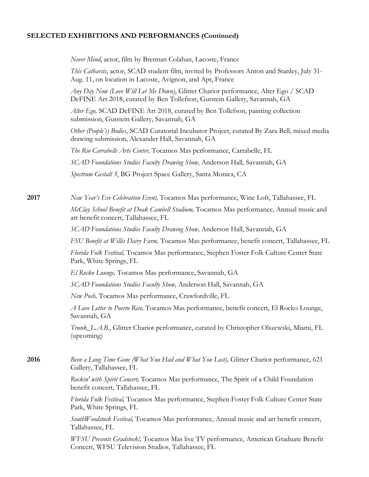*Never Mind*, actor, film by Brennan Colahan, Lacoste, France

*This Catharsis*, actor, SCAD student film, invited by Professors Anton and Stanley, July 31- Aug. 11, on location in Lacoste, Avignon, and Apt, France

*Any Day Now (Love Will Let Me Down)*, Glitter Chariot performance, Alter Ego / SCAD DeFINE Art 2018, curated by Ben Tollefson, Gutstein Gallery, Savannah, GA

*Alter Ego,* SCAD DeFINE Art 2018, curated by Ben Tollefson, painting collection submission, Gutstein Gallery, Savannah, GA

*Other (People's) Bodies*, SCAD Curatorial Incubator Project, curated By Zara Bell, mixed media drawing submission, Alexander Hall, Savannah, GA

*The Rio Carrabelle Arts Center,* Tocamos Mas performance, Carrabelle, FL

*SCAD Foundations Studies Faculty Drawing Show,* Anderson Hall, Savannah, GA

*Spectrum Gestalt 5*, BG Project Space Gallery, Santa Monica, CA

**2017** *New Year's Eve Celebration Event,* Tocamos Mas performance, Wine Loft, Tallahassee, FL *McClay School Benefit at Doak Cambell Stadium,* Tocamos Mas performance, Annual music and art benefit concert, Tallahassee, FL

*SCAD Foundations Studies Faculty Drawing Show,* Anderson Hall, Savannah, GA

*FSU Benefit at Willis Dairy Farm,* Tocamos Mas performance, benefit concert, Tallahassee, FL

*Florida Folk Festival,* Tocamos Mas performance, Stephen Foster Folk Culture Center State Park, White Springs, FL

*El Rocko Lounge,* Tocamos Mas performance, Savannah, GA

*SCAD Foundations Studies Faculty Show,* Anderson Hall, Savannah, GA

*New Posh,* Tocamos Mas performance, Crawfordville, FL

*A Love Letter to Puerto Rico,* Tocamos Mas performance, benefit concert, El Rocko Lounge, Savannah, GA

*Trunk\_L.A.B.*, Glitter Chariot performance, curated by Christopher Olszewski, Miami, FL (upcoming)

**2016** *Been a Long Time Gone (What You Had and What You Lost),* Glitter Chariot performance, 621 Gallery, Tallahassee, FL

> *Rockin' with Spirit Concert,* Tocamos Mas performance, The Spirit of a Child Foundation benefit concert, Tallahassee, FL

*Florida Folk Festival,* Tocamos Mas performance, Stephen Foster Folk Culture Center State Park, White Springs, FL

*SouthWoodstock Festival,* Tocamos Mas performance, Annual music and art benefit concert, Tallahassee, FL

*WFSU Presents Gradstock!,* Tocamos Mas live TV performance, American Graduate Benefit Concert, WFSU Television Studios, Tallahassee, FL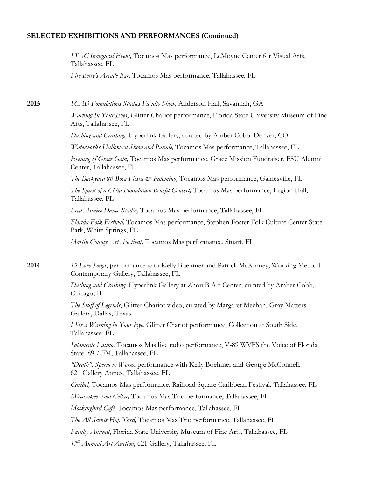*STAC Inaugural Event,* Tocamos Mas performance, LeMoyne Center for Visual Arts, Tallahassee, FL

*Fire Betty's Arcade Bar,* Tocamos Mas performance, Tallahassee, FL

**2015** *SCAD Foundations Studies Faculty Show,* Anderson Hall, Savannah, GA

*Warning In Your Eyes*, Glitter Chariot performance, Florida State University Museum of Fine Arts, Tallahassee, FL

*Dashing and Crashing,* Hyperlink Gallery, curated by Amber Cobb*,* Denver, CO

*Waterworks Halloween Show and Parade,* Tocamos Mas performance, Tallahassee, FL

*Evening of Grace Gala,* Tocamos Mas performance, Grace Mission Fundraiser, FSU Alumni Center, Tallahassee, FL

*The Backyard @ Boca Fiesta & Palomino,* Tocamos Mas performance, Gainesville, FL

*The Spirit of a Child Foundation Benefit Concert,* Tocamos Mas performance, Legion Hall, Tallahassee, FL

*Fred Astaire Dance Studio,* Tocamos Mas performance, Tallahassee, FL

*Florida Folk Festival,* Tocamos Mas performance, Stephen Foster Folk Culture Center State Park, White Springs, FL

*Martin County Arts Festival,* Tocamos Mas performance, Stuart, FL

**2014** *13 Love Songs*, performance with Kelly Boehmer and Patrick McKinney, Working Method Contemporary Gallery, Tallahassee, FL

> *Dashing and Crashing,* Hyperlink Gallery at Zhou B Art Center, curated by Amber Cobb, Chicago, IL

*The Stuff of Legends*, Glitter Chariot video, curated by Margaret Meehan, Gray Matters Gallery, Dallas, Texas

*I See a Warning in Your Eye*, Glitter Chariot performance, Collection at South Side, Tallahassee, FL

*Solamente Latino,* Tocamos Mas live radio performance, V-89 WVFS the Voice of Florida State. 89.7 FM, Tallahassee, FL

*"Death", Sperm to Worm*, performance with Kelly Boehmer and George McConnell, 621 Gallery Annex, Tallahassee, FL

*Caribe!,* Tocamos Mas performance, Railroad Square Caribbean Festival, Tallahassee, FL

*Miccosukee Root Cellar,* Tocamos Mas Trio performance, Tallahassee, FL

*Mockingbird Café,* Tocamos Mas performance, Tallahassee, FL

*The All Saints Hop Yard,* Tocamos Mas Trio performance, Tallahassee, FL

*Faculty Annual*, Florida State University Museum of Fine Arts, Tallahassee, FL

*17th Annual Art Auction*, 621 Gallery, Tallahassee, FL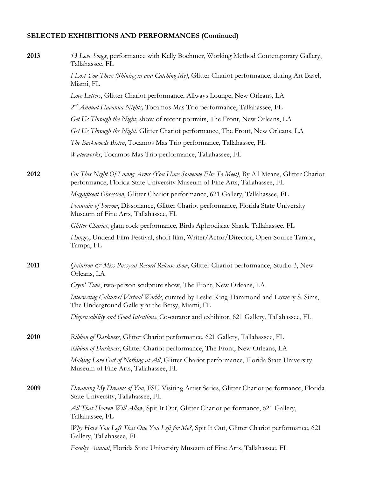| 2013 | 13 Love Songs, performance with Kelly Boehmer, Working Method Contemporary Gallery,<br>Tallahassee, FL                                                                    |
|------|---------------------------------------------------------------------------------------------------------------------------------------------------------------------------|
|      | I Lost You There (Shining in and Catching Me), Glitter Chariot performance, during Art Basel,<br>Miami, FL                                                                |
|      | Love Letters, Glitter Chariot performance, Allways Lounge, New Orleans, LA                                                                                                |
|      | 2 <sup>nd</sup> Annual Havanna Nights, Tocamos Mas Trio performance, Tallahassee, FL                                                                                      |
|      | Get Us Through the Night, show of recent portraits, The Front, New Orleans, LA                                                                                            |
|      | Get Us Through the Night, Glitter Chariot performance, The Front, New Orleans, LA                                                                                         |
|      | The Backwoods Bistro, Tocamos Mas Trio performance, Tallahassee, FL                                                                                                       |
|      | Waterworks, Tocamos Mas Trio performance, Tallahassee, FL                                                                                                                 |
| 2012 | On This Night Of Loving Arms (You Have Someone Else To Meet), By All Means, Glitter Chariot<br>performance, Florida State University Museum of Fine Arts, Tallahassee, FL |
|      | Magnificent Obsession, Glitter Chariot performance, 621 Gallery, Tallahassee, FL                                                                                          |
|      | Fountain of Sorrow, Dissonance, Glitter Chariot performance, Florida State University<br>Museum of Fine Arts, Tallahassee, FL                                             |
|      | Glitter Chariot, glam rock performance, Birds Aphrodisiac Shack, Tallahassee, FL                                                                                          |
|      | Hungry, Undead Film Festival, short film, Writer/Actor/Director, Open Source Tampa,<br>Tampa, FL                                                                          |
| 2011 | Quintron & Miss Pussycat Record Release show, Glitter Chariot performance, Studio 3, New<br>Orleans, LA                                                                   |
|      | Cryin' Time, two-person sculpture show, The Front, New Orleans, LA                                                                                                        |
|      | Intersecting Cultures/Virtual Worlds, curated by Leslie King-Hammond and Lowery S. Sims,<br>The Underground Gallery at the Betsy, Miami, FL                               |
|      | Dispensability and Good Intentions, Co-curator and exhibitor, 621 Gallery, Tallahassee, FL                                                                                |
| 2010 | Ribbon of Darkness, Glitter Chariot performance, 621 Gallery, Tallahassee, FL                                                                                             |
|      | Ribbon of Darkness, Glitter Chariot performance, The Front, New Orleans, LA                                                                                               |
|      | Making Love Out of Nothing at All, Glitter Chariot performance, Florida State University<br>Museum of Fine Arts, Tallahassee, FL                                          |
| 2009 | Dreaming My Dreams of You, FSU Visiting Artist Series, Glitter Chariot performance, Florida<br>State University, Tallahassee, FL                                          |
|      | All That Heaven Will Allow, Spit It Out, Glitter Chariot performance, 621 Gallery,<br>Tallahassee, FL                                                                     |
|      | Why Have You Left That One You Left for Me?, Spit It Out, Glitter Chariot performance, 621<br>Gallery, Tallahassee, FL                                                    |
|      | Faculty Annual, Florida State University Museum of Fine Arts, Tallahassee, FL                                                                                             |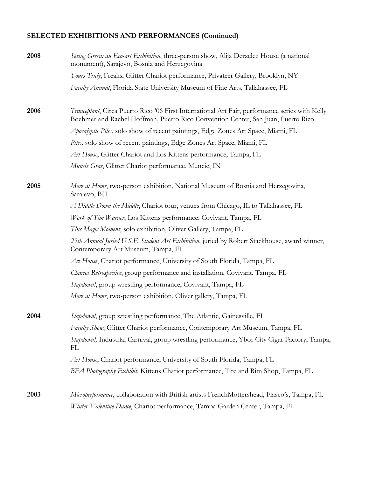| 2008 | Seeing Green: an Eco-art Exhibition, three-person show, Alija Derzelez House (a national<br>monument), Sarajevo, Bosnia and Herzegovina                                            |
|------|------------------------------------------------------------------------------------------------------------------------------------------------------------------------------------|
|      | Yours Truly, Freaks, Glitter Chariot performance, Privateer Gallery, Brooklyn, NY                                                                                                  |
|      | Faculty Annual, Florida State University Museum of Fine Arts, Tallahassee, FL                                                                                                      |
| 2006 | Tranceplant, Circa Puerto Rico '06 First International Art Fair, performance series with Kelly<br>Boehmer and Rachel Hoffman, Puerto Rico Convention Center, San Juan, Puerto Rico |
|      | Apocalyptic Piles, solo show of recent paintings, Edge Zones Art Space, Miami, FL                                                                                                  |
|      | Piles, solo show of recent paintings, Edge Zones Art Space, Miami, FL                                                                                                              |
|      | Art House, Glitter Chariot and Los Kittens performance, Tampa, FL                                                                                                                  |
|      | Muncie Gras, Glitter Chariot performance, Muncie, IN                                                                                                                               |
| 2005 | More at Home, two-person exhibition, National Museum of Bosnia and Herzegovina,<br>Sarajevo, BH                                                                                    |
|      | A Diddle Down the Middle, Chariot tour, venues from Chicago, IL to Tallahassee, FL                                                                                                 |
|      | Work of Tim Warner, Los Kittens performance, Covivant, Tampa, FL                                                                                                                   |
|      | This Magic Moment, solo exhibition, Oliver Gallery, Tampa, FL                                                                                                                      |
|      | 29th Annual Juried U.S.F. Student Art Exhibition, juried by Robert Stackhouse, award winner,<br>Contemporary Art Museum, Tampa, FL                                                 |
|      | Art House, Chariot performance, University of South Florida, Tampa, FL                                                                                                             |
|      | Chariot Retrospective, group performance and installation, Covivant, Tampa, FL                                                                                                     |
|      | Slapdown!, group wrestling performance, Covivant, Tampa, FL                                                                                                                        |
|      | <i>More at Home</i> , two-person exhibition, Oliver gallery, Tampa, FL                                                                                                             |
| 2004 | Slapdown!, group wrestling performance, The Atlantic, Gainesville, FL                                                                                                              |
|      | Faculty Show, Glitter Chariot performance, Contemporary Art Museum, Tampa, FL                                                                                                      |
|      | Slapdown!, Industrial Carnival, group wrestling performance, Ybor City Cigar Factory, Tampa,<br>FL                                                                                 |
|      | Art House, Chariot performance, University of South Florida, Tampa, FL                                                                                                             |
|      | BFA Photography Exhibit, Kittens Chariot performance, Tire and Rim Shop, Tampa, FL                                                                                                 |
| 2003 | Microperformance, collaboration with British artists FrenchMottershead, Fiasco's, Tampa, FL                                                                                        |
|      | Winter Valentine Dance, Chariot performance, Tampa Garden Center, Tampa, FL                                                                                                        |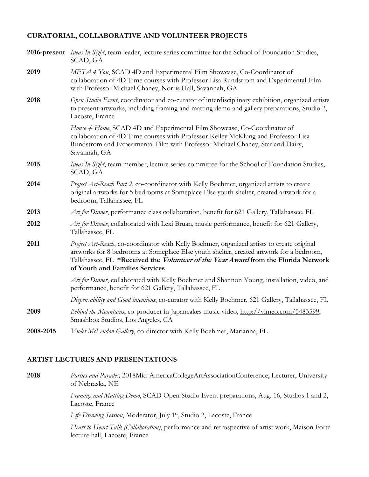# **CURATORIAL, COLLABORATIVE AND VOLUNTEER PROJECTS**

|           | 2016-present <i>Ideas In Sight</i> , team leader, lecture series committee for the School of Foundation Studies,<br>SCAD, GA                                                                                                                                                                                         |
|-----------|----------------------------------------------------------------------------------------------------------------------------------------------------------------------------------------------------------------------------------------------------------------------------------------------------------------------|
| 2019      | META 4 You, SCAD 4D and Experimental Film Showcase, Co-Coordinator of<br>collaboration of 4D Time courses with Professor Lisa Rundstrom and Experimental Film<br>with Professor Michael Chaney, Norris Hall, Savannah, GA                                                                                            |
| 2018      | Open Studio Event, coordinator and co-curator of interdisciplinary exhibition, organized artists<br>to present artworks, including framing and matting demo and gallery preparations, Studio 2,<br>Lacoste, France                                                                                                   |
|           | House # Home, SCAD 4D and Experimental Film Showcase, Co-Coordinator of<br>collaboration of 4D Time courses with Professor Kelley McKlung and Professor Lisa<br>Rundstrom and Experimental Film with Professor Michael Chaney, Starland Dairy,<br>Savannah, GA                                                       |
| 2015      | Ideas In Sight, team member, lecture series committee for the School of Foundation Studies,<br>SCAD, GA                                                                                                                                                                                                              |
| 2014      | Project Art-Reach Part 2, co-coordinator with Kelly Boehmer, organized artists to create<br>original artworks for 5 bedrooms at Someplace Else youth shelter, created artwork for a<br>bedroom, Tallahassee, FL                                                                                                      |
| 2013      | Art for Dinner, performance class collaboration, benefit for 621 Gallery, Tallahassee, FL                                                                                                                                                                                                                            |
| 2012      | Art for Dinner, collaborated with Lexi Bruan, music performance, benefit for 621 Gallery,<br>Tallahassee, FL                                                                                                                                                                                                         |
| 2011      | Project Art-Reach, co-coordinator with Kelly Boehmer, organized artists to create original<br>artworks for 8 bedrooms at Someplace Else youth shelter, created artwork for a bedroom,<br>Tallahassee, FL *Received the <i>Volunteer of the Year Award</i> from the Florida Network<br>of Youth and Families Services |
|           | Art for Dinner, collaborated with Kelly Boehmer and Shannon Young, installation, video, and<br>performance, benefit for 621 Gallery, Tallahassee, FL                                                                                                                                                                 |
|           | Dispensability and Good intentions, co-curator with Kelly Boehmer, 621 Gallery, Tallahassee, FL                                                                                                                                                                                                                      |
| 2009      | Behind the Mountains, co-producer in Japancakes music video, http://vimeo.com/5483599,<br>Smashbox Studios, Los Angeles, CA                                                                                                                                                                                          |
| 2008-2015 | Violet McLendon Gallery, co-director with Kelly Boehmer, Marianna, FL                                                                                                                                                                                                                                                |

# **ARTIST LECTURES AND PRESENTATIONS**

**2018** *Parties and Parades,* 2018Mid-AmericaCollegeArtAssociationConference, Lecturer, University of Nebraska, NE

> *Framing and Matting Demo*, SCAD Open Studio Event preparations, Aug. 16, Studios 1 and 2, Lacoste, France

Life Drawing Session, Moderator, July 1<sup>st</sup>, Studio 2, Lacoste, France

*Heart to Heart Talk (Collaboration)*, performance and retrospective of artist work, Maison Forte lecture hall, Lacoste, France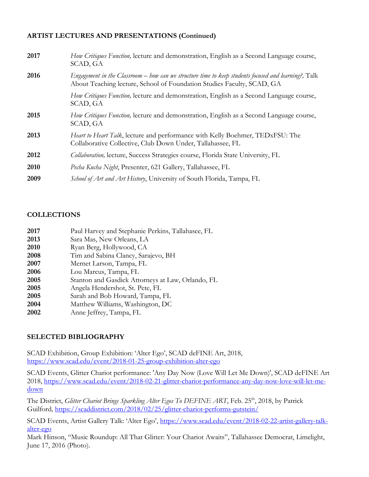# **ARTIST LECTURES AND PRESENTATIONS (Continued)**

| 2017 | <i>How Critiques Function</i> , lecture and demonstration, English as a Second Language course,<br>SCAD, GA                                                                    |
|------|--------------------------------------------------------------------------------------------------------------------------------------------------------------------------------|
| 2016 | Engagement in the Classroom – how can we structure time to keep students focused and learning?, Talk<br>About Teaching lecture, School of Foundation Studies Faculty, SCAD, GA |
|      | <i>How Critiques Function</i> , lecture and demonstration, English as a Second Language course,<br>SCAD, GA                                                                    |
| 2015 | How Critiques Function, lecture and demonstration, English as a Second Language course,<br>SCAD, GA                                                                            |
| 2013 | <i>Heart to Heart Talk</i> , lecture and performance with Kelly Boehmer, TEDxFSU: The<br>Collaborative Collective, Club Down Under, Tallahassee, FL                            |
| 2012 | Collaboration, lecture, Success Strategies course, Florida State University, FL                                                                                                |
| 2010 | Pecha Kucha Night, Presenter, 621 Gallery, Tallahassee, FL                                                                                                                     |
| 2009 | School of Art and Art History, University of South Florida, Tampa, FL                                                                                                          |

# **COLLECTIONS**

| 2017 | Paul Harvey and Stephanie Perkins, Tallahasee, FL |
|------|---------------------------------------------------|
| 2013 | Sara Mas, New Orleans, LA                         |
| 2010 | Ryan Berg, Hollywood, CA                          |
| 2008 | Tim and Sabina Clancy, Sarajevo, BH               |
| 2007 | Mernet Larson, Tampa, FL                          |
| 2006 | Lou Marcus, Tampa, FL                             |
| 2005 | Stanton and Gasdick Attorneys at Law, Orlando, FL |
| 2005 | Angela Hendershot, St. Pete, FL                   |
| 2005 | Sarah and Bob Howard, Tampa, FL                   |
| 2004 | Matthew Williams, Washington, DC                  |
| 2002 | Anne Jeffrey, Tampa, FL                           |
|      |                                                   |

# **SELECTED BIBLIOGRAPHY**

SCAD Exhibition, Group Exhibition: 'Alter Ego', SCAD deFINE Art, 2018, https://www.scad.edu/event/2018-01-25-group-exhibition-alter-ego

SCAD Events, Glitter Chariot performance: 'Any Day Now (Love Will Let Me Down)', SCAD deFINE Art 2018, https://www.scad.edu/event/2018-02-21-glitter-chariot-performance-any-day-now-love-will-let-medown

The District, *Glitter Chariot Brings Sparkling Alter Egos To DEFINE ART*, Feb. 25<sup>th</sup>, 2018, by Patrick Guilford*,* https://scaddistrict.com/2018/02/25/glitter-chariot-performs-gutstein/

SCAD Events, Artist Gallery Talk: 'Alter Ego', https://www.scad.edu/event/2018-02-22-artist-gallery-talkalter-ego

Mark Hinson, "Music Roundup: All That Glitter: Your Chariot Awaits", Tallahassee Democrat, Limelight, June 17, 2016 (Photo).